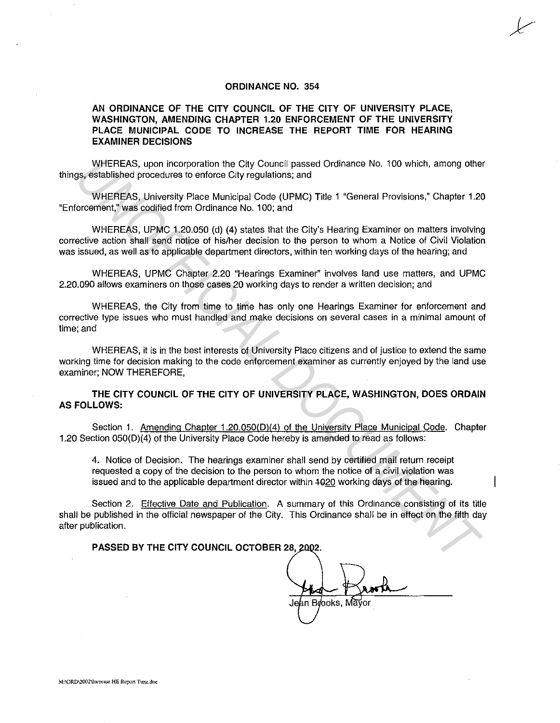## **ORDINANCE NO. 354**

## **AN ORDINANCE OF THE CITY COUNCIL OF THE CITY OF UNIVERSITY PLACE, WASHINGTON, AMENDING CHAPTER 1.20 ENFORCEMENT OF THE UNIVERSITY PLACE MUNICIPAL CODE TO INCREASE THE REPORT TIME FOR HEARING EXAMINER DECISIONS**

WHEREAS, upon incorporation the City Council passed Ordinance No. 100 which, among other things, established procedures to enforce City regulations; and

WHEREAS, University Place Municipal Code (UPMC) Title 1 "General Provisions," Chapter 1.20 "Enforcement," was codified from Ordinance No. 100; and

WHEREAS, UPMC 1.20.050 (d) **(4)** states that the City's Hearing Examiner on matters involving corrective action shall send notice of his/her decision to the person to whom a Notice of Civil Violation was issued, as well as to applicable department directors, within ten working days of the hearing; and WHEFIEAR, upon incorporation the City Council passed Ordinance No. 100 which, among other<br> **UNISHERE THE WANDER COMPART CONSUMERED AS A SUPPOSE THE SET WANDER CONSUMERED AND MUNISHER SUPPOSE CONSULTED A CONSULTED 11 THE CO** 

WHEREAS, UPMC Chapter 2.20 "Hearings Examiner" involves land use matters, and UPMC 2.20.090 allows examiners on those cases 20 working days to render a written decision; and

WHEREAS, the City from time to time has only one Hearings Examiner for enforcement and corrective type issues who must handled and make decisions on several cases in a minimal amount of time; and

WHEREAS, it is in the best interests of University Place citizens and of justice to extend the same working time for decision making to the code enforcement examiner as currently enjoyed by the land use examiner; NOW THEREFORE,

**THE CITY COUNCIL OF THE CITY OF UNIVERSITY PLACE, WASHINGTON, DOES ORDAIN AS FOLLOWS:** 

Section 1. Amending Chapter 1.20.050(D)(4) of the University Place Municipal Code. Chapter 1.20 Section 050(D)(4) of the University Place Code hereby is amended to read as follows:

4. Notice of Decision. The hearings examiner shall send by certified mail return receipt requested a copy of the decision to the person to whom the notice of a civil violation was issued and to the applicable department director within  $1020$  working days of the hearing.

Section 2. Effective Date and Publication. A summary of this Ordinance consisting of its title shall be published in the official newspaper of the City. This Ordinance shall be in effect on the fifth day after publication.

PASSED BY THE CITY COUNCIL OCTOBER 28, 2002.

Jean Brooks, Mayor